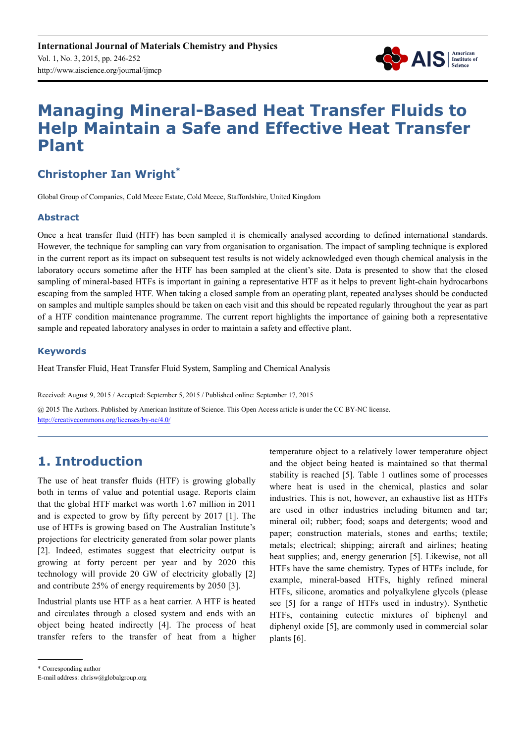

# **Managing Mineral-Based Heat Transfer Fluids to Help Maintain a Safe and Effective Heat Transfer Plant**

# **Christopher Ian Wright\***

Global Group of Companies, Cold Meece Estate, Cold Meece, Staffordshire, United Kingdom

#### **Abstract**

Once a heat transfer fluid (HTF) has been sampled it is chemically analysed according to defined international standards. However, the technique for sampling can vary from organisation to organisation. The impact of sampling technique is explored in the current report as its impact on subsequent test results is not widely acknowledged even though chemical analysis in the laboratory occurs sometime after the HTF has been sampled at the client's site. Data is presented to show that the closed sampling of mineral-based HTFs is important in gaining a representative HTF as it helps to prevent light-chain hydrocarbons escaping from the sampled HTF. When taking a closed sample from an operating plant, repeated analyses should be conducted on samples and multiple samples should be taken on each visit and this should be repeated regularly throughout the year as part of a HTF condition maintenance programme. The current report highlights the importance of gaining both a representative sample and repeated laboratory analyses in order to maintain a safety and effective plant.

#### **Keywords**

Heat Transfer Fluid, Heat Transfer Fluid System, Sampling and Chemical Analysis

Received: August 9, 2015 / Accepted: September 5, 2015 / Published online: September 17, 2015

@ 2015 The Authors. Published by American Institute of Science. This Open Access article is under the CC BY-NC license. http://creativecommons.org/licenses/by-nc/4.0/

# **1. Introduction**

The use of heat transfer fluids (HTF) is growing globally both in terms of value and potential usage. Reports claim that the global HTF market was worth 1.67 million in 2011 and is expected to grow by fifty percent by 2017 [1]. The use of HTFs is growing based on The Australian Institute's projections for electricity generated from solar power plants [2]. Indeed, estimates suggest that electricity output is growing at forty percent per year and by 2020 this technology will provide 20 GW of electricity globally [2] and contribute 25% of energy requirements by 2050 [3].

Industrial plants use HTF as a heat carrier. A HTF is heated and circulates through a closed system and ends with an object being heated indirectly [4]. The process of heat transfer refers to the transfer of heat from a higher temperature object to a relatively lower temperature object and the object being heated is maintained so that thermal stability is reached [5]. Table 1 outlines some of processes where heat is used in the chemical, plastics and solar industries. This is not, however, an exhaustive list as HTFs are used in other industries including bitumen and tar; mineral oil; rubber; food; soaps and detergents; wood and paper; construction materials, stones and earths; textile; metals; electrical; shipping; aircraft and airlines; heating heat supplies; and, energy generation [5]. Likewise, not all HTFs have the same chemistry. Types of HTFs include, for example, mineral-based HTFs, highly refined mineral HTFs, silicone, aromatics and polyalkylene glycols (please see [5] for a range of HTFs used in industry). Synthetic HTFs, containing eutectic mixtures of biphenyl and diphenyl oxide [5], are commonly used in commercial solar plants [6].

\* Corresponding author

E-mail address: chrisw@globalgroup.org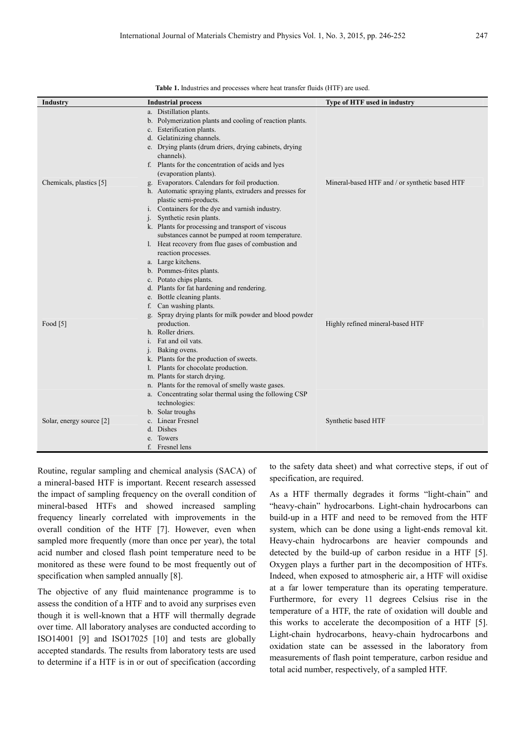| <b>Industry</b>          | <b>Industrial process</b>                                                                                                                                                                                                                                                                                                                                                                                                                                                                                                                                                                                                                                                                                                              | Type of HTF used in industry                   |
|--------------------------|----------------------------------------------------------------------------------------------------------------------------------------------------------------------------------------------------------------------------------------------------------------------------------------------------------------------------------------------------------------------------------------------------------------------------------------------------------------------------------------------------------------------------------------------------------------------------------------------------------------------------------------------------------------------------------------------------------------------------------------|------------------------------------------------|
| Chemicals, plastics [5]  | a. Distillation plants.<br>b. Polymerization plants and cooling of reaction plants.<br>Esterification plants.<br>C <sub>1</sub><br>Gelatinizing channels.<br>d.<br>e. Drying plants (drum driers, drying cabinets, drying<br>channels).<br>f. Plants for the concentration of acids and lyes<br>(evaporation plants).<br>g. Evaporators. Calendars for foil production.<br>h. Automatic spraying plants, extruders and presses for<br>plastic semi-products.<br>i. Containers for the dye and varnish industry.<br>Synthetic resin plants.<br>j.<br>k. Plants for processing and transport of viscous<br>substances cannot be pumped at room temperature.<br>1. Heat recovery from flue gases of combustion and<br>reaction processes. | Mineral-based HTF and / or synthetic based HTF |
| Food $[5]$               | a. Large kitchens.<br>b. Pommes-frites plants.<br>c. Potato chips plants.<br>d. Plants for fat hardening and rendering.<br>Bottle cleaning plants.<br>e.<br>Can washing plants.<br>f.<br>g. Spray drying plants for milk powder and blood powder<br>production.<br>h. Roller driers.<br>Fat and oil vats.<br>Baking ovens.<br>k. Plants for the production of sweets.<br>Plants for chocolate production.<br>l.<br>m. Plants for starch drying.<br>n. Plants for the removal of smelly waste gases.                                                                                                                                                                                                                                    | Highly refined mineral-based HTF               |
| Solar, energy source [2] | a. Concentrating solar thermal using the following CSP<br>technologies:<br>b. Solar troughs<br>Linear Fresnel<br>$\mathbf{c}$ .<br>d. Dishes<br>Towers<br>e.<br>Fresnel lens                                                                                                                                                                                                                                                                                                                                                                                                                                                                                                                                                           | Synthetic based HTF                            |

**Table 1.** Industries and processes where heat transfer fluids (HTF) are used.

Routine, regular sampling and chemical analysis (SACA) of a mineral-based HTF is important. Recent research assessed the impact of sampling frequency on the overall condition of mineral-based HTFs and showed increased sampling frequency linearly correlated with improvements in the overall condition of the HTF [7]. However, even when sampled more frequently (more than once per year), the total acid number and closed flash point temperature need to be monitored as these were found to be most frequently out of specification when sampled annually [8].

The objective of any fluid maintenance programme is to assess the condition of a HTF and to avoid any surprises even though it is well-known that a HTF will thermally degrade over time. All laboratory analyses are conducted according to ISO14001 [9] and ISO17025 [10] and tests are globally accepted standards. The results from laboratory tests are used to determine if a HTF is in or out of specification (according to the safety data sheet) and what corrective steps, if out of specification, are required.

As a HTF thermally degrades it forms "light-chain" and "heavy-chain" hydrocarbons. Light-chain hydrocarbons can build-up in a HTF and need to be removed from the HTF system, which can be done using a light-ends removal kit. Heavy-chain hydrocarbons are heavier compounds and detected by the build-up of carbon residue in a HTF [5]. Oxygen plays a further part in the decomposition of HTFs. Indeed, when exposed to atmospheric air, a HTF will oxidise at a far lower temperature than its operating temperature. Furthermore, for every 11 degrees Celsius rise in the temperature of a HTF, the rate of oxidation will double and this works to accelerate the decomposition of a HTF [5]. Light-chain hydrocarbons, heavy-chain hydrocarbons and oxidation state can be assessed in the laboratory from measurements of flash point temperature, carbon residue and total acid number, respectively, of a sampled HTF.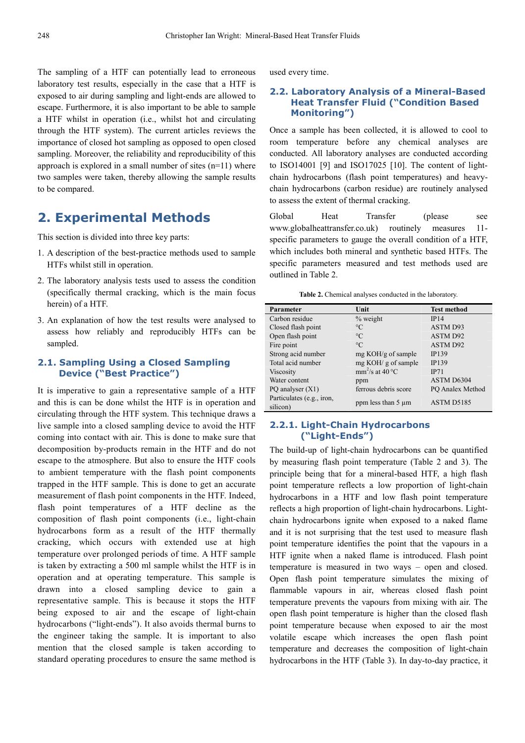The sampling of a HTF can potentially lead to erroneous laboratory test results, especially in the case that a HTF is exposed to air during sampling and light-ends are allowed to escape. Furthermore, it is also important to be able to sample a HTF whilst in operation (i.e., whilst hot and circulating through the HTF system). The current articles reviews the importance of closed hot sampling as opposed to open closed sampling. Moreover, the reliability and reproducibility of this approach is explored in a small number of sites  $(n=11)$  where two samples were taken, thereby allowing the sample results to be compared.

### **2. Experimental Methods**

This section is divided into three key parts:

- 1. A description of the best-practice methods used to sample HTFs whilst still in operation.
- 2. The laboratory analysis tests used to assess the condition (specifically thermal cracking, which is the main focus herein) of a HTF.
- 3. An explanation of how the test results were analysed to assess how reliably and reproducibly HTFs can be sampled.

#### **2.1. Sampling Using a Closed Sampling Device ("Best Practice")**

It is imperative to gain a representative sample of a HTF and this is can be done whilst the HTF is in operation and circulating through the HTF system. This technique draws a live sample into a closed sampling device to avoid the HTF coming into contact with air. This is done to make sure that decomposition by-products remain in the HTF and do not escape to the atmosphere. But also to ensure the HTF cools to ambient temperature with the flash point components trapped in the HTF sample. This is done to get an accurate measurement of flash point components in the HTF. Indeed, flash point temperatures of a HTF decline as the composition of flash point components (i.e., light-chain hydrocarbons form as a result of the HTF thermally cracking, which occurs with extended use at high temperature over prolonged periods of time. A HTF sample is taken by extracting a 500 ml sample whilst the HTF is in operation and at operating temperature. This sample is drawn into a closed sampling device to gain a representative sample. This is because it stops the HTF being exposed to air and the escape of light-chain hydrocarbons ("light-ends"). It also avoids thermal burns to the engineer taking the sample. It is important to also mention that the closed sample is taken according to standard operating procedures to ensure the same method is used every time.

#### **2.2. Laboratory Analysis of a Mineral-Based Heat Transfer Fluid ("Condition Based Monitoring")**

Once a sample has been collected, it is allowed to cool to room temperature before any chemical analyses are conducted. All laboratory analyses are conducted according to ISO14001 [9] and ISO17025 [10]. The content of lightchain hydrocarbons (flash point temperatures) and heavychain hydrocarbons (carbon residue) are routinely analysed to assess the extent of thermal cracking.

Global Heat Transfer (please see www.globalheattransfer.co.uk) routinely measures 11 specific parameters to gauge the overall condition of a HTF, which includes both mineral and synthetic based HTFs. The specific parameters measured and test methods used are outlined in Table 2.

**Table 2.** Chemical analyses conducted in the laboratory.

| Parameter                             | Unit                    | <b>Test method</b> |  |
|---------------------------------------|-------------------------|--------------------|--|
| Carbon residue                        | $%$ weight              | IP14               |  |
| Closed flash point                    | $^{\circ}C$             | ASTM D93           |  |
| Open flash point                      | $\rm ^{\circ}C$         | <b>ASTM D92</b>    |  |
| Fire point                            | $^{\circ}C$             | <b>ASTM D92</b>    |  |
| Strong acid number                    | mg KOH/g of sample      | <b>IP139</b>       |  |
| Total acid number                     | mg KOH/g of sample      | <b>IP139</b>       |  |
| Viscosity                             | $mm^2$ /s at 40 °C      | IP71               |  |
| Water content                         | ppm                     | ASTM D6304         |  |
| PQ analyser $(X1)$                    | ferrous debris score    | PQ Analex Method   |  |
| Particulates (e.g., iron,<br>silicon) | ppm less than $5 \mu m$ | ASTM D5185         |  |

#### **2.2.1. Light-Chain Hydrocarbons ("Light-Ends")**

The build-up of light-chain hydrocarbons can be quantified by measuring flash point temperature (Table 2 and 3). The principle being that for a mineral-based HTF, a high flash point temperature reflects a low proportion of light-chain hydrocarbons in a HTF and low flash point temperature reflects a high proportion of light-chain hydrocarbons. Lightchain hydrocarbons ignite when exposed to a naked flame and it is not surprising that the test used to measure flash point temperature identifies the point that the vapours in a HTF ignite when a naked flame is introduced. Flash point temperature is measured in two ways – open and closed. Open flash point temperature simulates the mixing of flammable vapours in air, whereas closed flash point temperature prevents the vapours from mixing with air. The open flash point temperature is higher than the closed flash point temperature because when exposed to air the most volatile escape which increases the open flash point temperature and decreases the composition of light-chain hydrocarbons in the HTF (Table 3). In day-to-day practice, it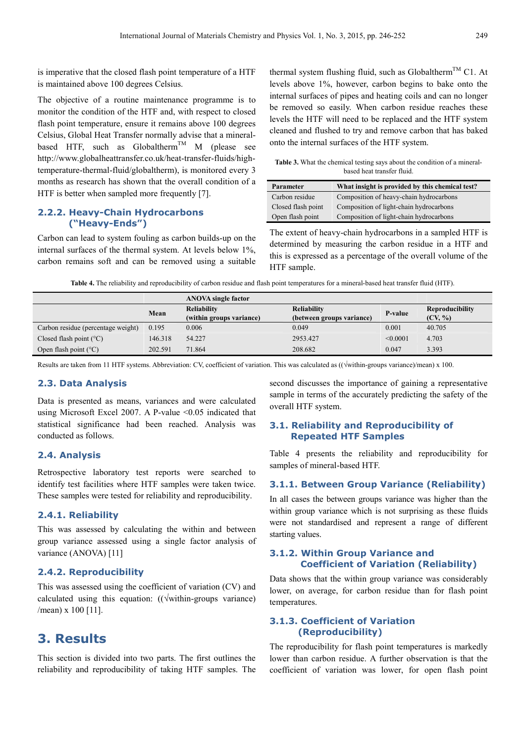is imperative that the closed flash point temperature of a HTF is maintained above 100 degrees Celsius.

The objective of a routine maintenance programme is to monitor the condition of the HTF and, with respect to closed flash point temperature, ensure it remains above 100 degrees Celsius, Global Heat Transfer normally advise that a mineralbased HTF, such as Globaltherm<sup>TM</sup> M (please see http://www.globalheattransfer.co.uk/heat-transfer-fluids/hightemperature-thermal-fluid/globaltherm), is monitored every 3 months as research has shown that the overall condition of a HTF is better when sampled more frequently [7].

#### **2.2.2. Heavy-Chain Hydrocarbons ("Heavy-Ends")**

Carbon can lead to system fouling as carbon builds-up on the internal surfaces of the thermal system. At levels below 1%, carbon remains soft and can be removed using a suitable thermal system flushing fluid, such as Globaltherm<sup>TM</sup> C1. At levels above 1%, however, carbon begins to bake onto the internal surfaces of pipes and heating coils and can no longer be removed so easily. When carbon residue reaches these levels the HTF will need to be replaced and the HTF system cleaned and flushed to try and remove carbon that has baked onto the internal surfaces of the HTF system.

**Table 3.** What the chemical testing says about the condition of a mineralbased heat transfer fluid.

| <b>Parameter</b>   | What insight is provided by this chemical test? |
|--------------------|-------------------------------------------------|
| Carbon residue     | Composition of heavy-chain hydrocarbons         |
| Closed flash point | Composition of light-chain hydrocarbons         |
| Open flash point   | Composition of light-chain hydrocarbons         |

The extent of heavy-chain hydrocarbons in a sampled HTF is determined by measuring the carbon residue in a HTF and this is expressed as a percentage of the overall volume of the HTF sample.

**Table 4.** The reliability and reproducibility of carbon residue and flash point temperatures for a mineral-based heat transfer fluid (HTF).

|                                    |         | <b>ANOVA</b> single factor |                           |                |                        |
|------------------------------------|---------|----------------------------|---------------------------|----------------|------------------------|
|                                    | Mean    | <b>Reliability</b>         | <b>Reliability</b>        | <b>P-value</b> | <b>Reproducibility</b> |
|                                    |         | (within groups variance)   | (between groups variance) |                | $(CV, \%)$             |
| Carbon residue (percentage weight) | 0.195   | 0.006                      | 0.049                     | 0.001          | 40.705                 |
| Closed flash point $(^{\circ}C)$   | 146.318 | 54.227                     | 2953.427                  | < 0.0001       | 4.703                  |
| Open flash point $(^{\circ}C)$     | 202.591 | 71.864                     | 208.682                   | 0.047          | 3.393                  |

Results are taken from 11 HTF systems. Abbreviation: CV, coefficient of variation. This was calculated as ((√within-groups variance)/mean) x 100.

#### **2.3. Data Analysis**

Data is presented as means, variances and were calculated using Microsoft Excel 2007. A P-value  $\leq 0.05$  indicated that statistical significance had been reached. Analysis was conducted as follows.

#### **2.4. Analysis**

Retrospective laboratory test reports were searched to identify test facilities where HTF samples were taken twice. These samples were tested for reliability and reproducibility.

#### **2.4.1. Reliability**

This was assessed by calculating the within and between group variance assessed using a single factor analysis of variance (ANOVA) [11]

#### **2.4.2. Reproducibility**

This was assessed using the coefficient of variation (CV) and calculated using this equation: ((√within-groups variance) /mean) x 100 [11].

# **3. Results**

This section is divided into two parts. The first outlines the reliability and reproducibility of taking HTF samples. The second discusses the importance of gaining a representative sample in terms of the accurately predicting the safety of the overall HTF system.

#### **3.1. Reliability and Reproducibility of Repeated HTF Samples**

Table 4 presents the reliability and reproducibility for samples of mineral-based HTF.

#### **3.1.1. Between Group Variance (Reliability)**

In all cases the between groups variance was higher than the within group variance which is not surprising as these fluids were not standardised and represent a range of different starting values.

#### **3.1.2. Within Group Variance and Coefficient of Variation (Reliability)**

Data shows that the within group variance was considerably lower, on average, for carbon residue than for flash point temperatures.

#### **3.1.3. Coefficient of Variation (Reproducibility)**

The reproducibility for flash point temperatures is markedly lower than carbon residue. A further observation is that the coefficient of variation was lower, for open flash point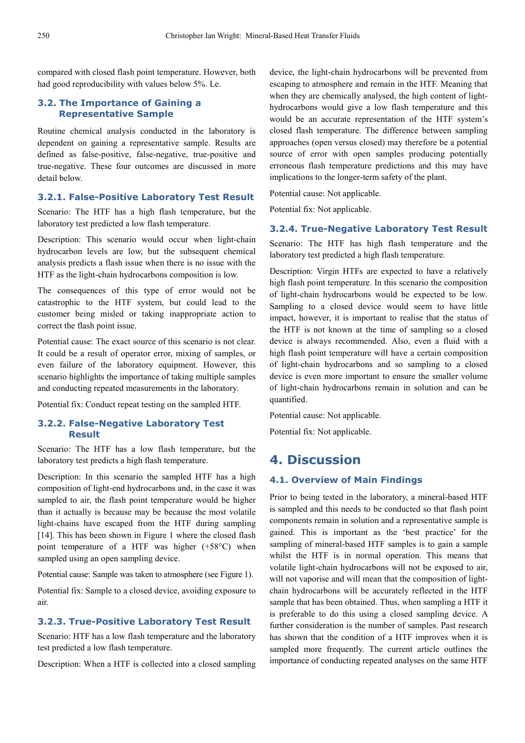compared with closed flash point temperature. However, both had good reproducibility with values below 5%. Le.

#### **3.2. The Importance of Gaining a Representative Sample**

Routine chemical analysis conducted in the laboratory is dependent on gaining a representative sample. Results are defined as false-positive, false-negative, true-positive and true-negative. These four outcomes are discussed in more detail below.

#### **3.2.1. False-Positive Laboratory Test Result**

Scenario: The HTF has a high flash temperature, but the laboratory test predicted a low flash temperature.

Description: This scenario would occur when light-chain hydrocarbon levels are low, but the subsequent chemical analysis predicts a flash issue when there is no issue with the HTF as the light-chain hydrocarbons composition is low.

The consequences of this type of error would not be catastrophic to the HTF system, but could lead to the customer being misled or taking inappropriate action to correct the flash point issue.

Potential cause: The exact source of this scenario is not clear. It could be a result of operator error, mixing of samples, or even failure of the laboratory equipment. However, this scenario highlights the importance of taking multiple samples and conducting repeated measurements in the laboratory.

Potential fix: Conduct repeat testing on the sampled HTF.

#### **3.2.2. False-Negative Laboratory Test Result**

Scenario: The HTF has a low flash temperature, but the laboratory test predicts a high flash temperature.

Description: In this scenario the sampled HTF has a high composition of light-end hydrocarbons and, in the case it was sampled to air, the flash point temperature would be higher than it actually is because may be because the most volatile light-chains have escaped from the HTF during sampling [14]. This has been shown in Figure 1 where the closed flash point temperature of a HTF was higher (+58°C) when sampled using an open sampling device.

Potential cause: Sample was taken to atmosphere (see Figure 1).

Potential fix: Sample to a closed device, avoiding exposure to air.

#### **3.2.3. True-Positive Laboratory Test Result**

Scenario: HTF has a low flash temperature and the laboratory test predicted a low flash temperature.

Description: When a HTF is collected into a closed sampling

device, the light-chain hydrocarbons will be prevented from escaping to atmosphere and remain in the HTF. Meaning that when they are chemically analysed, the high content of lighthydrocarbons would give a low flash temperature and this would be an accurate representation of the HTF system's closed flash temperature. The difference between sampling approaches (open versus closed) may therefore be a potential source of error with open samples producing potentially erroneous flash temperature predictions and this may have implications to the longer-term safety of the plant.

Potential cause: Not applicable.

Potential fix: Not applicable.

#### **3.2.4. True-Negative Laboratory Test Result**

Scenario: The HTF has high flash temperature and the laboratory test predicted a high flash temperature.

Description: Virgin HTFs are expected to have a relatively high flash point temperature. In this scenario the composition of light-chain hydrocarbons would be expected to be low. Sampling to a closed device would seem to have little impact, however, it is important to realise that the status of the HTF is not known at the time of sampling so a closed device is always recommended. Also, even a fluid with a high flash point temperature will have a certain composition of light-chain hydrocarbons and so sampling to a closed device is even more important to ensure the smaller volume of light-chain hydrocarbons remain in solution and can be quantified.

Potential cause: Not applicable.

Potential fix: Not applicable.

# **4. Discussion**

#### **4.1. Overview of Main Findings**

Prior to being tested in the laboratory, a mineral-based HTF is sampled and this needs to be conducted so that flash point components remain in solution and a representative sample is gained. This is important as the 'best practice' for the sampling of mineral-based HTF samples is to gain a sample whilst the HTF is in normal operation. This means that volatile light-chain hydrocarbons will not be exposed to air, will not vaporise and will mean that the composition of lightchain hydrocarbons will be accurately reflected in the HTF sample that has been obtained. Thus, when sampling a HTF it is preferable to do this using a closed sampling device. A further consideration is the number of samples. Past research has shown that the condition of a HTF improves when it is sampled more frequently. The current article outlines the importance of conducting repeated analyses on the same HTF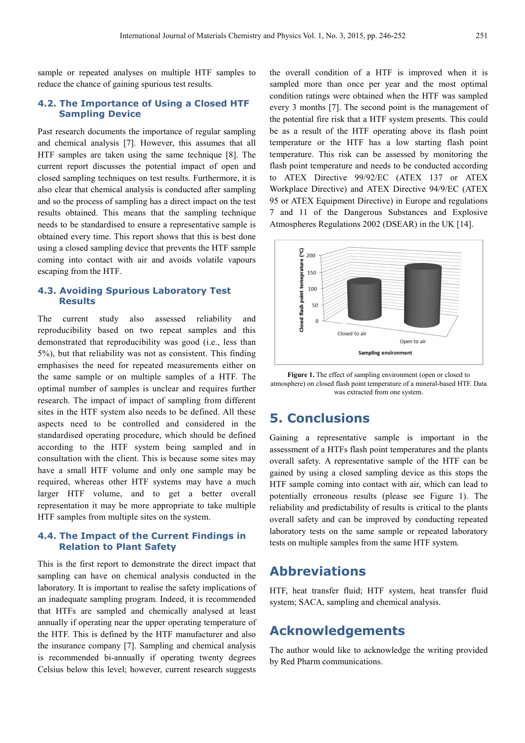sample or repeated analyses on multiple HTF samples to reduce the chance of gaining spurious test results.

#### **4.2. The Importance of Using a Closed HTF Sampling Device**

Past research documents the importance of regular sampling and chemical analysis [7]. However, this assumes that all HTF samples are taken using the same technique [8]. The current report discusses the potential impact of open and closed sampling techniques on test results. Furthermore, it is also clear that chemical analysis is conducted after sampling and so the process of sampling has a direct impact on the test results obtained. This means that the sampling technique needs to be standardised to ensure a representative sample is obtained every time. This report shows that this is best done using a closed sampling device that prevents the HTF sample coming into contact with air and avoids volatile vapours escaping from the HTF.

#### **4.3. Avoiding Spurious Laboratory Test Results**

The current study also assessed reliability and reproducibility based on two repeat samples and this demonstrated that reproducibility was good (i.e., less than 5%), but that reliability was not as consistent. This finding emphasises the need for repeated measurements either on the same sample or on multiple samples of a HTF. The optimal number of samples is unclear and requires further research. The impact of impact of sampling from different sites in the HTF system also needs to be defined. All these aspects need to be controlled and considered in the standardised operating procedure, which should be defined according to the HTF system being sampled and in consultation with the client. This is because some sites may have a small HTF volume and only one sample may be required, whereas other HTF systems may have a much larger HTF volume, and to get a better overall representation it may be more appropriate to take multiple HTF samples from multiple sites on the system.

#### **4.4. The Impact of the Current Findings in Relation to Plant Safety**

This is the first report to demonstrate the direct impact that sampling can have on chemical analysis conducted in the laboratory. It is important to realise the safety implications of an inadequate sampling program. Indeed, it is recommended that HTFs are sampled and chemically analysed at least annually if operating near the upper operating temperature of the HTF. This is defined by the HTF manufacturer and also the insurance company [7]. Sampling and chemical analysis is recommended bi-annually if operating twenty degrees Celsius below this level; however, current research suggests the overall condition of a HTF is improved when it is sampled more than once per year and the most optimal condition ratings were obtained when the HTF was sampled every 3 months [7]. The second point is the management of the potential fire risk that a HTF system presents. This could be as a result of the HTF operating above its flash point temperature or the HTF has a low starting flash point temperature. This risk can be assessed by monitoring the flash point temperature and needs to be conducted according to ATEX Directive 99/92/EC (ATEX 137 or ATEX Workplace Directive) and ATEX Directive 94/9/EC (ATEX 95 or ATEX Equipment Directive) in Europe and regulations 7 and 11 of the Dangerous Substances and Explosive Atmospheres Regulations 2002 (DSEAR) in the UK [14].



**Figure 1.** The effect of sampling environment (open or closed to atmosphere) on closed flash point temperature of a mineral-based HTF. Data was extracted from one system.

### **5. Conclusions**

Gaining a representative sample is important in the assessment of a HTFs flash point temperatures and the plants overall safety. A representative sample of the HTF can be gained by using a closed sampling device as this stops the HTF sample coming into contact with air, which can lead to potentially erroneous results (please see Figure 1). The reliability and predictability of results is critical to the plants overall safety and can be improved by conducting repeated laboratory tests on the same sample or repeated laboratory tests on multiple samples from the same HTF system.

# **Abbreviations**

HTF, heat transfer fluid; HTF system, heat transfer fluid system; SACA, sampling and chemical analysis.

# **Acknowledgements**

The author would like to acknowledge the writing provided by Red Pharm communications.